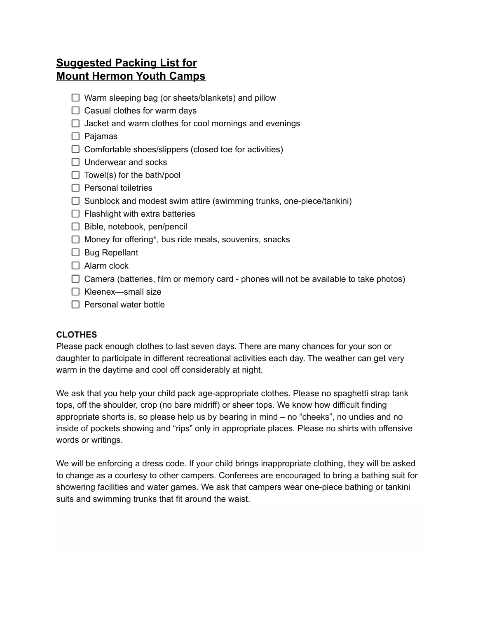# **Suggested Packing List for Mount Hermon Youth Camps**

- $\Box$  Warm sleeping bag (or sheets/blankets) and pillow
- $\Box$  Casual clothes for warm days
- $\Box$  Jacket and warm clothes for cool mornings and evenings
- $\Box$  Pajamas
- $\Box$  Comfortable shoes/slippers (closed toe for activities)
- $\Box$  Underwear and socks
- $\Box$  Towel(s) for the bath/pool
- $\Box$  Personal toiletries
- $\Box$  Sunblock and modest swim attire (swimming trunks, one-piece/tankini)
- $\Box$  Flashlight with extra batteries
- $\Box$  Bible, notebook, pen/pencil
- $\Box$  Money for offering\*, bus ride meals, souvenirs, snacks
- $\Box$  Bug Repellant
- $\Box$  Alarm clock
- $\Box$  Camera (batteries, film or memory card phones will not be available to take photos)
- $\Box$  Kleenex—small size
- $\Box$  Personal water bottle

## **CLOTHES**

Please pack enough clothes to last seven days. There are many chances for your son or daughter to participate in different recreational activities each day. The weather can get very warm in the daytime and cool off considerably at night.

We ask that you help your child pack age-appropriate clothes. Please no spaghetti strap tank tops, off the shoulder, crop (no bare midriff) or sheer tops. We know how difficult finding appropriate shorts is, so please help us by bearing in mind – no "cheeks", no undies and no inside of pockets showing and "rips" only in appropriate places. Please no shirts with offensive words or writings.

We will be enforcing a dress code. If your child brings inappropriate clothing, they will be asked to change as a courtesy to other campers. Conferees are encouraged to bring a bathing suit for showering facilities and water games. We ask that campers wear one-piece bathing or tankini suits and swimming trunks that fit around the waist.